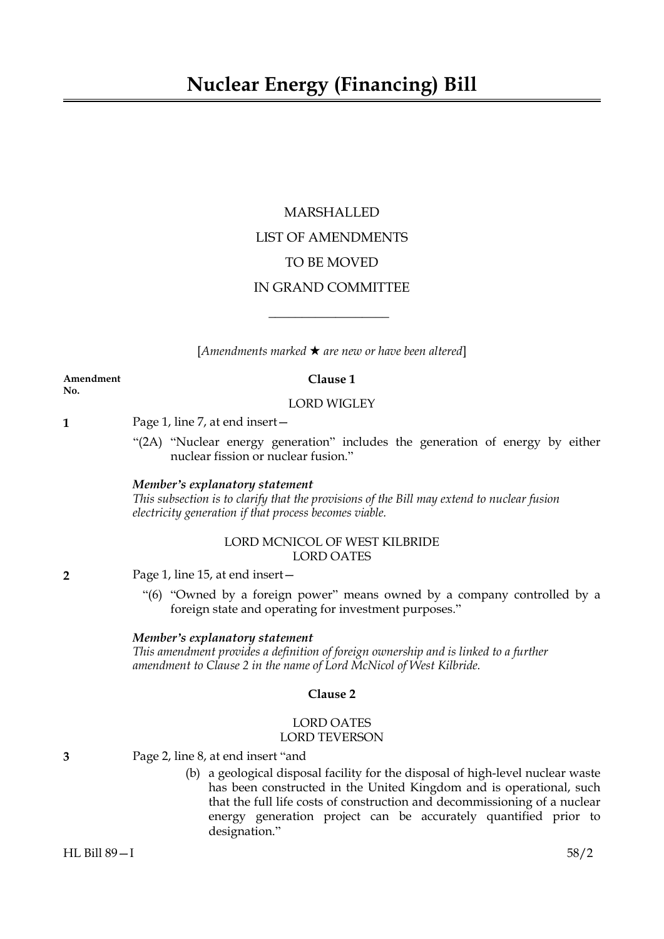# MARSHALLED LIST OF AMENDMENTS TO BE MOVED IN GRAND COMMITTEE

[*Amendments marked* \* *are new or have been altered*]

 $\overline{\phantom{a}}$  , where  $\overline{\phantom{a}}$ 

**Amendment Clause 1 No.**

#### LORD WIGLEY

**1** Page 1, line 7, at end insert—

"(2A) "Nuclear energy generation" includes the generation of energy by either nuclear fission or nuclear fusion."

# *Member's explanatory statement*

*This subsection is to clarify that the provisions of the Bill may extend to nuclear fusion electricity generation if that process becomes viable.*

# LORD MCNICOL OF WEST KILBRIDE LORD OATES

**2** Page 1, line 15, at end insert—

"(6) "Owned by a foreign power" means owned by a company controlled by a foreign state and operating for investment purposes."

#### *Member's explanatory statement*

*This amendment provides a definition of foreign ownership and is linked to a further amendment to Clause 2 in the name of Lord McNicol of West Kilbride.*

# **Clause 2**

# LORD OATES LORD TEVERSON

- **3** Page 2, line 8, at end insert "and
	- (b) a geological disposal facility for the disposal of high-level nuclear waste has been constructed in the United Kingdom and is operational, such that the full life costs of construction and decommissioning of a nuclear energy generation project can be accurately quantified prior to designation."

HL Bill 89—I 58/2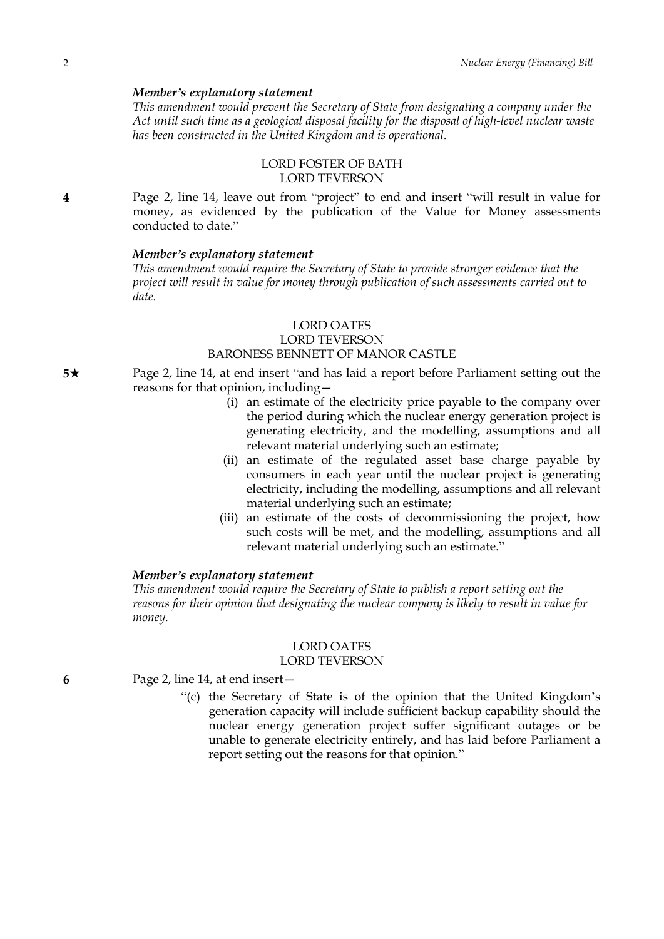*This amendment would prevent the Secretary of State from designating a company under the Act until such time as a geological disposal facility for the disposal of high-level nuclear waste has been constructed in the United Kingdom and is operational.*

# LORD FOSTER OF BATH LORD TEVERSON

**4** Page 2, line 14, leave out from "project" to end and insert "will result in value for money, as evidenced by the publication of the Value for Money assessments conducted to date."

#### *Member's explanatory statement*

*This amendment would require the Secretary of State to provide stronger evidence that the project will result in value for money through publication of such assessments carried out to date.*

# LORD OATES LORD TEVERSON BARONESS BENNETT OF MANOR CASTLE

**5**\* Page 2, line 14, at end insert "and has laid a report before Parliament setting out the reasons for that opinion, including—

- (i) an estimate of the electricity price payable to the company over the period during which the nuclear energy generation project is generating electricity, and the modelling, assumptions and all relevant material underlying such an estimate;
- (ii) an estimate of the regulated asset base charge payable by consumers in each year until the nuclear project is generating electricity, including the modelling, assumptions and all relevant material underlying such an estimate;
- (iii) an estimate of the costs of decommissioning the project, how such costs will be met, and the modelling, assumptions and all relevant material underlying such an estimate."

#### *Member's explanatory statement*

*This amendment would require the Secretary of State to publish a report setting out the reasons for their opinion that designating the nuclear company is likely to result in value for money.*

# LORD OATES

# LORD TEVERSON

#### **6** Page 2, line 14, at end insert—

"(c) the Secretary of State is of the opinion that the United Kingdom's generation capacity will include sufficient backup capability should the nuclear energy generation project suffer significant outages or be unable to generate electricity entirely, and has laid before Parliament a report setting out the reasons for that opinion."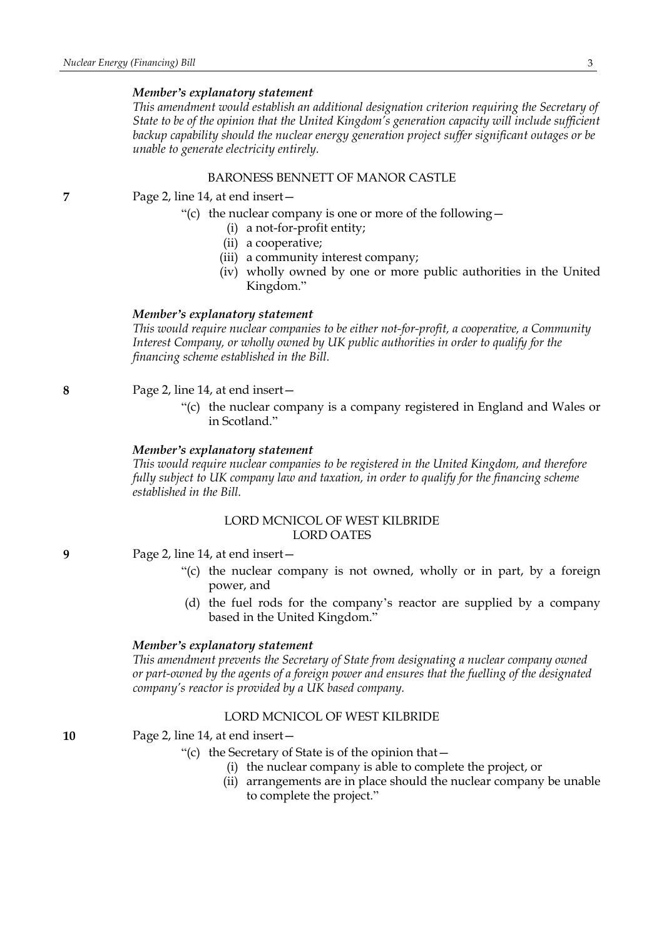*This amendment would establish an additional designation criterion requiring the Secretary of State to be of the opinion that the United Kingdom's generation capacity will include sufficient backup capability should the nuclear energy generation project suffer significant outages or be unable to generate electricity entirely.*

# BARONESS BENNETT OF MANOR CASTLE

#### **7** Page 2, line 14, at end insert—

- "(c) the nuclear company is one or more of the following  $-$ 
	- (i) a not-for-profit entity;
		- (ii) a cooperative;
		- (iii) a community interest company;
		- (iv) wholly owned by one or more public authorities in the United Kingdom."

## *Member's explanatory statement*

*This would require nuclear companies to be either not-for-profit, a cooperative, a Community Interest Company, or wholly owned by UK public authorities in order to qualify for the financing scheme established in the Bill.*

#### **8** Page 2, line 14, at end insert—

"(c) the nuclear company is a company registered in England and Wales or in Scotland."

#### *Member's explanatory statement*

*This would require nuclear companies to be registered in the United Kingdom, and therefore fully subject to UK company law and taxation, in order to qualify for the financing scheme established in the Bill.*

# LORD MCNICOL OF WEST KILBRIDE LORD OATES

- **9** Page 2, line 14, at end insert—
	- "(c) the nuclear company is not owned, wholly or in part, by a foreign power, and
	- (d) the fuel rods for the company's reactor are supplied by a company based in the United Kingdom."

#### *Member's explanatory statement*

*This amendment prevents the Secretary of State from designating a nuclear company owned or part-owned by the agents of a foreign power and ensures that the fuelling of the designated company's reactor is provided by a UK based company.*

# LORD MCNICOL OF WEST KILBRIDE

**10** Page 2, line 14, at end insert—

- "(c) the Secretary of State is of the opinion that—
	- (i) the nuclear company is able to complete the project, or
	- (ii) arrangements are in place should the nuclear company be unable to complete the project."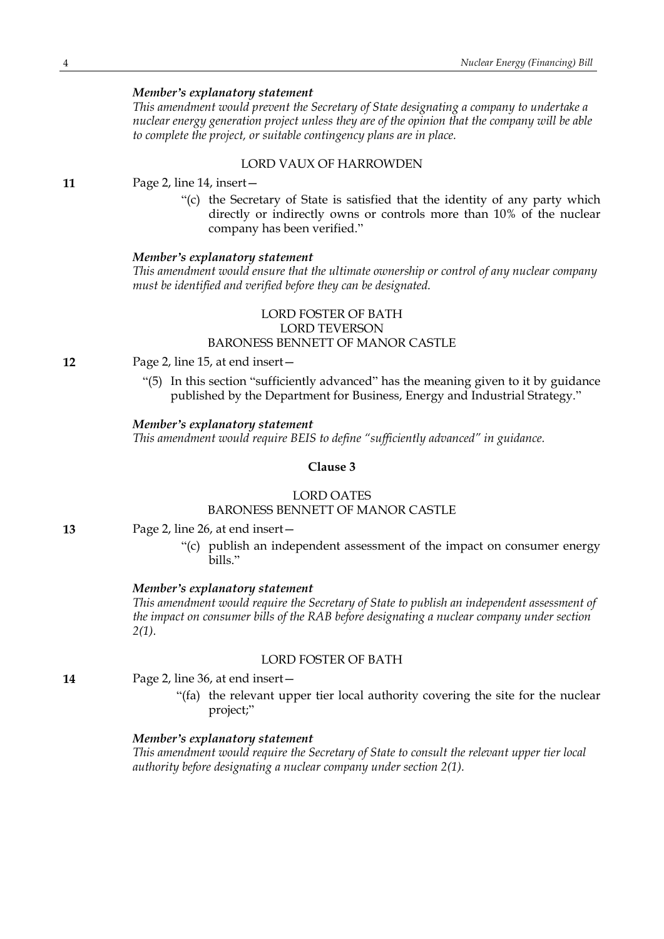*This amendment would prevent the Secretary of State designating a company to undertake a nuclear energy generation project unless they are of the opinion that the company will be able to complete the project, or suitable contingency plans are in place.*

# LORD VAUX OF HARROWDEN

**11** Page 2, line 14, insert—

"(c) the Secretary of State is satisfied that the identity of any party which directly or indirectly owns or controls more than 10% of the nuclear company has been verified."

#### *Member's explanatory statement*

*This amendment would ensure that the ultimate ownership or control of any nuclear company must be identified and verified before they can be designated.*

# LORD FOSTER OF BATH LORD TEVERSON BARONESS BENNETT OF MANOR CASTLE

- **12** Page 2, line 15, at end insert—
	- "(5) In this section "sufficiently advanced" has the meaning given to it by guidance published by the Department for Business, Energy and Industrial Strategy."

#### *Member's explanatory statement*

*This amendment would require BEIS to define "sufficiently advanced" in guidance.*

# **Clause 3**

## LORD OATES BARONESS BENNETT OF MANOR CASTLE

- **13** Page 2, line 26, at end insert—
	- "(c) publish an independent assessment of the impact on consumer energy bills."

#### *Member's explanatory statement*

*This amendment would require the Secretary of State to publish an independent assessment of the impact on consumer bills of the RAB before designating a nuclear company under section 2(1).*

#### LORD FOSTER OF BATH

**14** Page 2, line 36, at end insert—

"(fa) the relevant upper tier local authority covering the site for the nuclear project;"

# *Member's explanatory statement*

*This amendment would require the Secretary of State to consult the relevant upper tier local authority before designating a nuclear company under section 2(1).*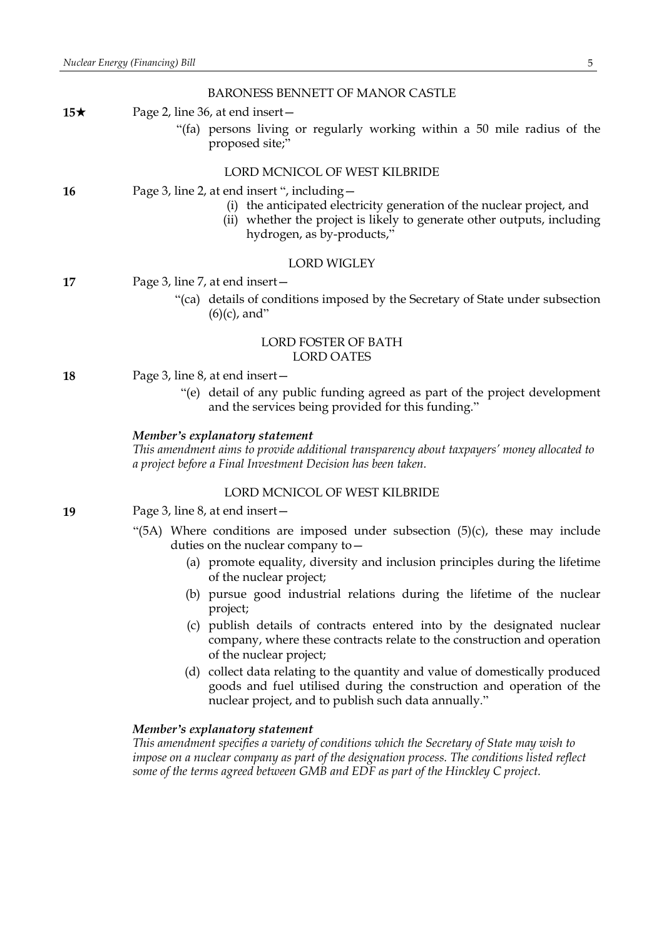|            | BARONESS BENNETT OF MANOR CASTLE                                                                                                                                                                                                |
|------------|---------------------------------------------------------------------------------------------------------------------------------------------------------------------------------------------------------------------------------|
| 15 $\star$ | Page 2, line 36, at end insert –                                                                                                                                                                                                |
|            | "(fa) persons living or regularly working within a 50 mile radius of the<br>proposed site;"                                                                                                                                     |
|            | LORD MCNICOL OF WEST KILBRIDE                                                                                                                                                                                                   |
| 16         | Page 3, line 2, at end insert ", including -<br>(i) the anticipated electricity generation of the nuclear project, and<br>(ii) whether the project is likely to generate other outputs, including<br>hydrogen, as by-products," |
|            | <b>LORD WIGLEY</b>                                                                                                                                                                                                              |
| 17         | Page 3, line 7, at end insert -                                                                                                                                                                                                 |
|            | "(ca) details of conditions imposed by the Secretary of State under subsection<br>$(6)(c)$ , and"                                                                                                                               |
|            | LORD FOSTER OF BATH<br><b>LORD OATES</b>                                                                                                                                                                                        |
| 18         | Page 3, line 8, at end insert -                                                                                                                                                                                                 |
|            | "(e) detail of any public funding agreed as part of the project development<br>and the services being provided for this funding."                                                                                               |
|            | Member's explanatory statement                                                                                                                                                                                                  |
|            | This amendment aims to provide additional transparency about taxpayers' money allocated to<br>a project before a Final Investment Decision has been taken.                                                                      |
|            | LORD MCNICOL OF WEST KILBRIDE                                                                                                                                                                                                   |
| 19         | Page 3, line 8, at end insert $-$                                                                                                                                                                                               |
|            | "(5A) Where conditions are imposed under subsection $(5)(c)$ , these may include<br>duties on the nuclear company to $-$                                                                                                        |
|            | (a) promote equality, diversity and inclusion principles during the lifetime<br>of the nuclear project;                                                                                                                         |
|            | $\mathbf{a}$ , and $\mathbf{a}$ , and $\mathbf{a}$ , and $\mathbf{a}$ , and $\mathbf{a}$ , and $\mathbf{a}$ , and $\mathbf{a}$                                                                                                  |

- (b) pursue good industrial relations during the lifetime of the nuclear project;
- (c) publish details of contracts entered into by the designated nuclear company, where these contracts relate to the construction and operation of the nuclear project;
- (d) collect data relating to the quantity and value of domestically produced goods and fuel utilised during the construction and operation of the nuclear project, and to publish such data annually."

*This amendment specifies a variety of conditions which the Secretary of State may wish to impose on a nuclear company as part of the designation process. The conditions listed reflect some of the terms agreed between GMB and EDF as part of the Hinckley C project.*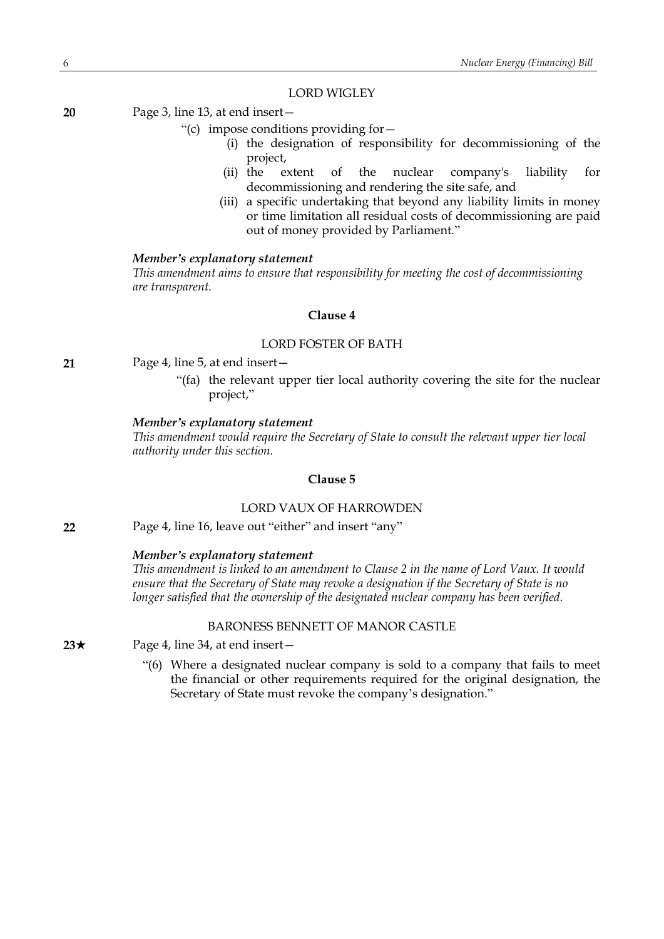#### LORD WIGLEY

**20** Page 3, line 13, at end insert—

- "(c) impose conditions providing for—
	- (i) the designation of responsibility for decommissioning of the project,
	- (ii) the extent of the nuclear company's liability for decommissioning and rendering the site safe, and
	- (iii) a specific undertaking that beyond any liability limits in money or time limitation all residual costs of decommissioning are paid out of money provided by Parliament."

#### *Member's explanatory statement*

*This amendment aims to ensure that responsibility for meeting the cost of decommissioning are transparent.*

# **Clause 4**

#### LORD FOSTER OF BATH

- **21** Page 4, line 5, at end insert—
	- "(fa) the relevant upper tier local authority covering the site for the nuclear project,"

#### *Member's explanatory statement*

*This amendment would require the Secretary of State to consult the relevant upper tier local authority under this section.*

#### **Clause 5**

#### LORD VAUX OF HARROWDEN

**22** Page 4, line 16, leave out "either" and insert "any"

# *Member's explanatory statement*

*This amendment is linked to an amendment to Clause 2 in the name of Lord Vaux. It would ensure that the Secretary of State may revoke a designation if the Secretary of State is no longer satisfied that the ownership of the designated nuclear company has been verified.*

#### BARONESS BENNETT OF MANOR CASTLE

**23**★ Page 4, line 34, at end insert —

"(6) Where a designated nuclear company is sold to a company that fails to meet the financial or other requirements required for the original designation, the Secretary of State must revoke the company's designation."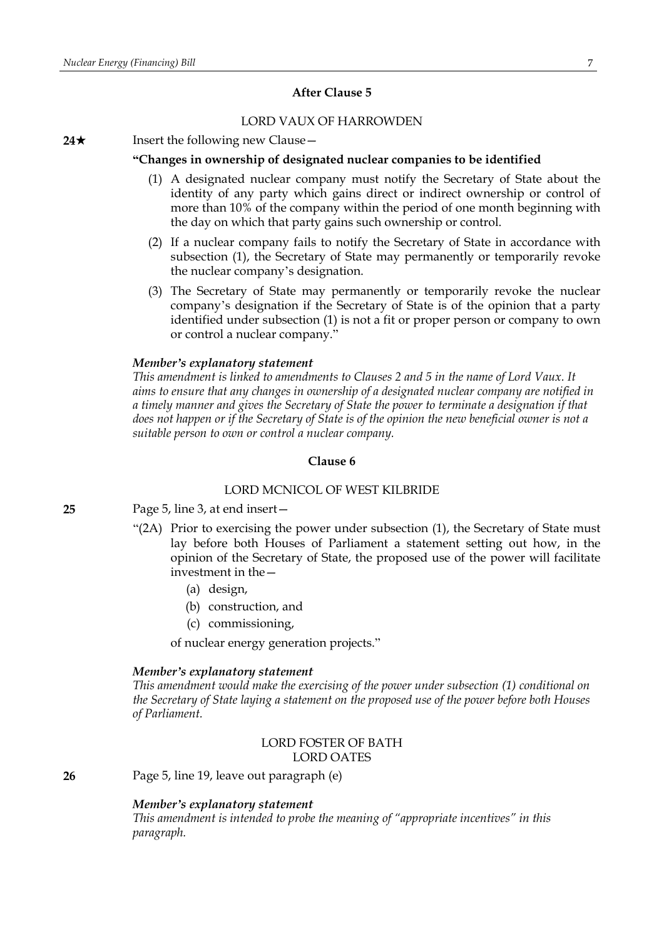# **After Clause 5**

# LORD VAUX OF HARROWDEN

#### **24**★ Insert the following new Clause —

#### **"Changes in ownership of designated nuclear companies to be identified**

- (1) A designated nuclear company must notify the Secretary of State about the identity of any party which gains direct or indirect ownership or control of more than 10% of the company within the period of one month beginning with the day on which that party gains such ownership or control.
- (2) If a nuclear company fails to notify the Secretary of State in accordance with subsection (1), the Secretary of State may permanently or temporarily revoke the nuclear company's designation.
- (3) The Secretary of State may permanently or temporarily revoke the nuclear company's designation if the Secretary of State is of the opinion that a party identified under subsection (1) is not a fit or proper person or company to own or control a nuclear company."

# *Member's explanatory statement*

*This amendment is linked to amendments to Clauses 2 and 5 in the name of Lord Vaux. It aims to ensure that any changes in ownership of a designated nuclear company are notified in a timely manner and gives the Secretary of State the power to terminate a designation if that* does not happen or if the Secretary of State is of the opinion the new beneficial owner is not a *suitable person to own or control a nuclear company.*

# **Clause 6**

#### LORD MCNICOL OF WEST KILBRIDE

# **25** Page 5, line 3, at end insert—

- "(2A) Prior to exercising the power under subsection (1), the Secretary of State must lay before both Houses of Parliament a statement setting out how, in the opinion of the Secretary of State, the proposed use of the power will facilitate investment in the—
	- (a) design,
	- (b) construction, and
	- (c) commissioning,

of nuclear energy generation projects."

#### *Member's explanatory statement*

*This amendment would make the exercising of the power under subsection (1) conditional on the Secretary of State laying a statement on the proposed use of the power before both Houses of Parliament.*

# LORD FOSTER OF BATH LORD OATES

**26** Page 5, line 19, leave out paragraph (e)

# *Member's explanatory statement*

*This amendment is intended to probe the meaning of "appropriate incentives" in this paragraph.*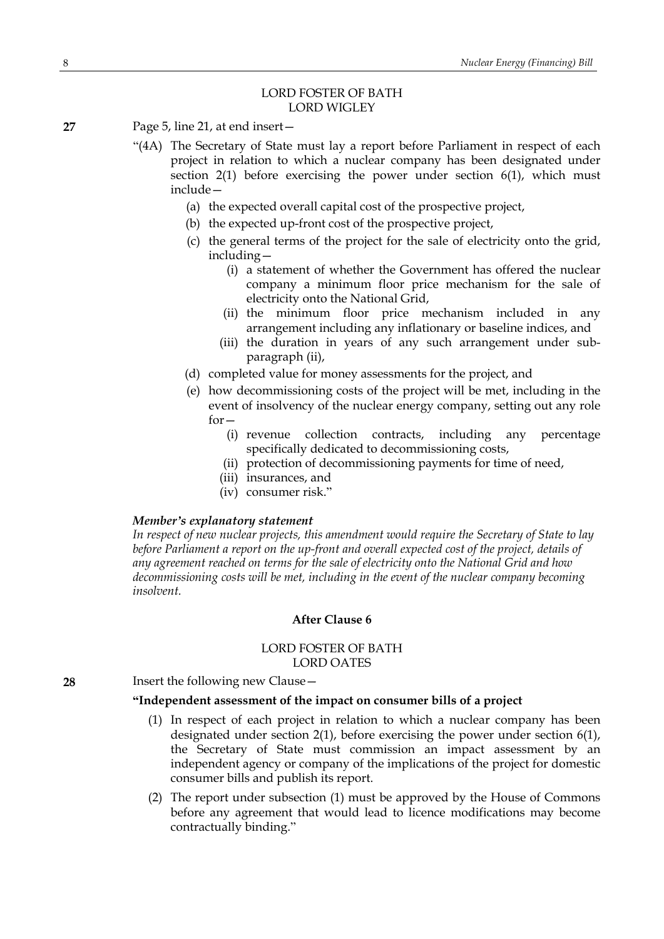# LORD FOSTER OF BATH LORD WIGLEY

- **27** Page 5, line 21, at end insert—
	- "(4A) The Secretary of State must lay a report before Parliament in respect of each project in relation to which a nuclear company has been designated under section 2(1) before exercising the power under section 6(1), which must include—
		- (a) the expected overall capital cost of the prospective project,
		- (b) the expected up-front cost of the prospective project,
		- (c) the general terms of the project for the sale of electricity onto the grid, including—
			- (i) a statement of whether the Government has offered the nuclear company a minimum floor price mechanism for the sale of electricity onto the National Grid,
			- (ii) the minimum floor price mechanism included in any arrangement including any inflationary or baseline indices, and
			- (iii) the duration in years of any such arrangement under subparagraph (ii),
		- (d) completed value for money assessments for the project, and
		- (e) how decommissioning costs of the project will be met, including in the event of insolvency of the nuclear energy company, setting out any role  $for -$ 
			- (i) revenue collection contracts, including any percentage specifically dedicated to decommissioning costs,
			- (ii) protection of decommissioning payments for time of need,
			- (iii) insurances, and
			- (iv) consumer risk."

#### *Member's explanatory statement*

*In respect of new nuclear projects, this amendment would require the Secretary of State to lay before Parliament a report on the up-front and overall expected cost of the project, details of any agreement reached on terms for the sale of electricity onto the National Grid and how decommissioning costs will be met, including in the event of the nuclear company becoming insolvent.*

# **After Clause 6**

#### LORD FOSTER OF BATH LORD OATES

#### **28** Insert the following new Clause—

#### **"Independent assessment of the impact on consumer bills of a project**

- (1) In respect of each project in relation to which a nuclear company has been designated under section 2(1), before exercising the power under section 6(1), the Secretary of State must commission an impact assessment by an independent agency or company of the implications of the project for domestic consumer bills and publish its report.
- (2) The report under subsection (1) must be approved by the House of Commons before any agreement that would lead to licence modifications may become contractually binding."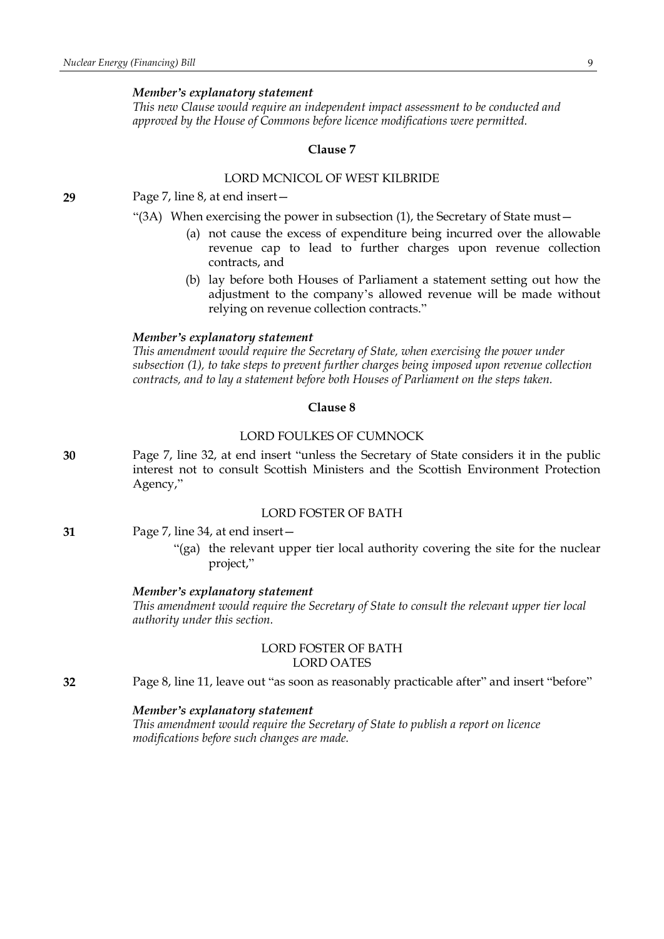*This new Clause would require an independent impact assessment to be conducted and approved by the House of Commons before licence modifications were permitted.*

#### **Clause 7**

# LORD MCNICOL OF WEST KILBRIDE

**29** Page 7, line 8, at end insert—

- "(3A) When exercising the power in subsection (1), the Secretary of State must—
	- (a) not cause the excess of expenditure being incurred over the allowable revenue cap to lead to further charges upon revenue collection contracts, and
	- (b) lay before both Houses of Parliament a statement setting out how the adjustment to the company's allowed revenue will be made without relying on revenue collection contracts."

#### *Member's explanatory statement*

*This amendment would require the Secretary of State, when exercising the power under subsection (1), to take steps to prevent further charges being imposed upon revenue collection contracts, and to lay a statement before both Houses of Parliament on the steps taken.*

# **Clause 8**

# LORD FOULKES OF CUMNOCK

**30** Page 7, line 32, at end insert "unless the Secretary of State considers it in the public interest not to consult Scottish Ministers and the Scottish Environment Protection Agency,"

#### LORD FOSTER OF BATH

- **31** Page 7, line 34, at end insert—
	- "(ga) the relevant upper tier local authority covering the site for the nuclear project,"

#### *Member's explanatory statement*

*This amendment would require the Secretary of State to consult the relevant upper tier local authority under this section.*

# LORD FOSTER OF BATH LORD OATES

**32** Page 8, line 11, leave out "as soon as reasonably practicable after" and insert "before"

# *Member's explanatory statement*

*This amendment would require the Secretary of State to publish a report on licence modifications before such changes are made.*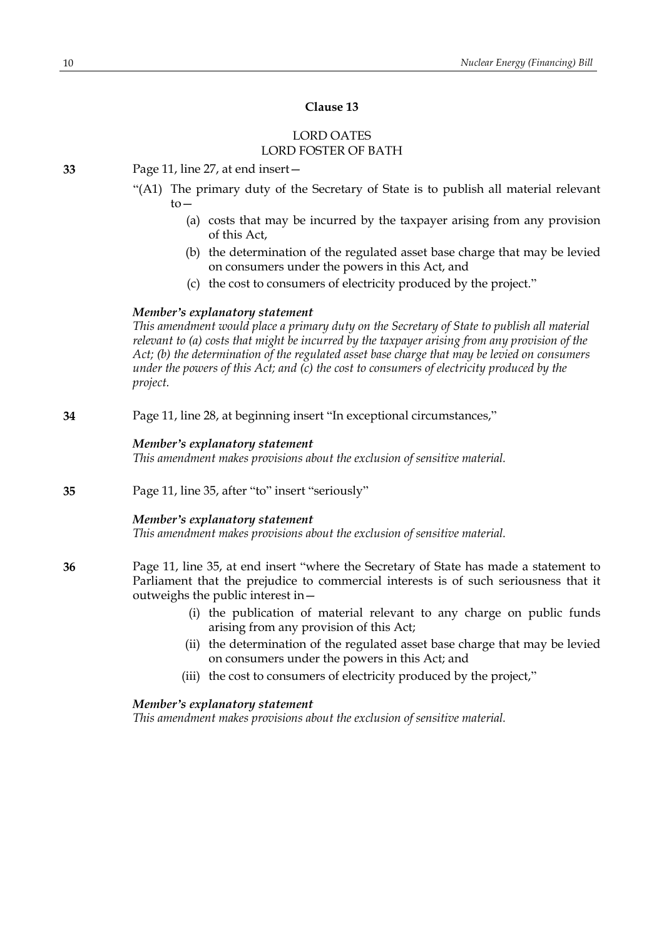# **Clause 13**

# LORD OATES LORD FOSTER OF BATH

**33** Page 11, line 27, at end insert—

- "(A1) The primary duty of the Secretary of State is to publish all material relevant to—
	- (a) costs that may be incurred by the taxpayer arising from any provision of this Act,
	- (b) the determination of the regulated asset base charge that may be levied on consumers under the powers in this Act, and
	- (c) the cost to consumers of electricity produced by the project."

# *Member's explanatory statement*

*This amendment would place a primary duty on the Secretary of State to publish all material relevant to (a) costs that might be incurred by the taxpayer arising from any provision of the Act; (b) the determination of the regulated asset base charge that may be levied on consumers under the powers of this Act; and (c) the cost to consumers of electricity produced by the project.*

**34** Page 11, line 28, at beginning insert "In exceptional circumstances,"

### *Member's explanatory statement*

*This amendment makes provisions about the exclusion of sensitive material.*

**35** Page 11, line 35, after "to" insert "seriously"

# *Member's explanatory statement*

*This amendment makes provisions about the exclusion of sensitive material.*

- **36** Page 11, line 35, at end insert "where the Secretary of State has made a statement to Parliament that the prejudice to commercial interests is of such seriousness that it outweighs the public interest in—
	- (i) the publication of material relevant to any charge on public funds arising from any provision of this Act;
	- (ii) the determination of the regulated asset base charge that may be levied on consumers under the powers in this Act; and
	- (iii) the cost to consumers of electricity produced by the project,"

# *Member's explanatory statement*

*This amendment makes provisions about the exclusion of sensitive material.*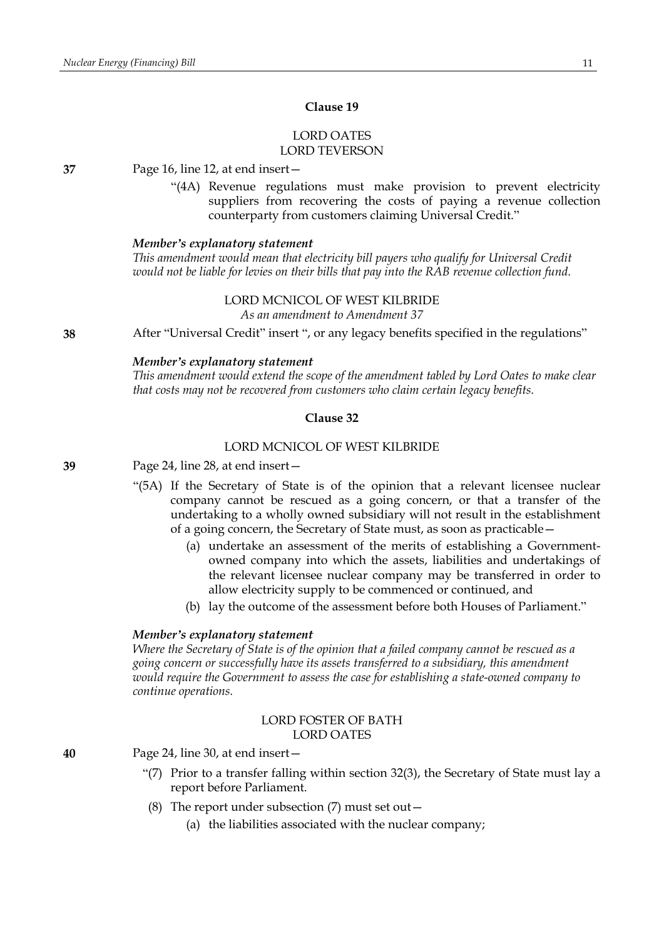# **Clause 19**

# LORD OATES LORD TEVERSON

**37** Page 16, line 12, at end insert—

"(4A) Revenue regulations must make provision to prevent electricity suppliers from recovering the costs of paying a revenue collection counterparty from customers claiming Universal Credit."

#### *Member's explanatory statement*

*This amendment would mean that electricity bill payers who qualify for Universal Credit would not be liable for levies on their bills that pay into the RAB revenue collection fund.*

> LORD MCNICOL OF WEST KILBRIDE *As an amendment to Amendment 37*

**38** After "Universal Credit" insert ", or any legacy benefits specified in the regulations"

#### *Member's explanatory statement*

*This amendment would extend the scope of the amendment tabled by Lord Oates to make clear that costs may not be recovered from customers who claim certain legacy benefits.*

#### **Clause 32**

#### LORD MCNICOL OF WEST KILBRIDE

**39** Page 24, line 28, at end insert—

- "(5A) If the Secretary of State is of the opinion that a relevant licensee nuclear company cannot be rescued as a going concern, or that a transfer of the undertaking to a wholly owned subsidiary will not result in the establishment of a going concern, the Secretary of State must, as soon as practicable—
	- (a) undertake an assessment of the merits of establishing a Governmentowned company into which the assets, liabilities and undertakings of the relevant licensee nuclear company may be transferred in order to allow electricity supply to be commenced or continued, and
	- (b) lay the outcome of the assessment before both Houses of Parliament."

#### *Member's explanatory statement*

*Where the Secretary of State is of the opinion that a failed company cannot be rescued as a going concern or successfully have its assets transferred to a subsidiary, this amendment would require the Government to assess the case for establishing a state-owned company to continue operations.*

# LORD FOSTER OF BATH LORD OATES

**40** Page 24, line 30, at end insert—

- "(7) Prior to a transfer falling within section 32(3), the Secretary of State must lay a report before Parliament.
- (8) The report under subsection  $(7)$  must set out  $-$ 
	- (a) the liabilities associated with the nuclear company;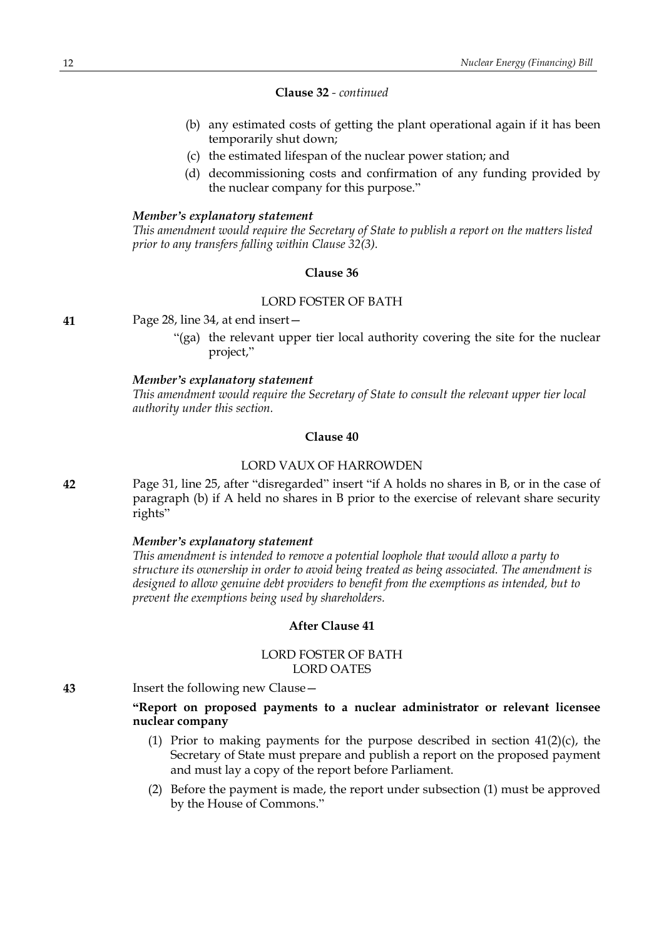#### **Clause 32** *- continued*

- (b) any estimated costs of getting the plant operational again if it has been temporarily shut down;
- (c) the estimated lifespan of the nuclear power station; and
- (d) decommissioning costs and confirmation of any funding provided by the nuclear company for this purpose."

#### *Member's explanatory statement*

*This amendment would require the Secretary of State to publish a report on the matters listed prior to any transfers falling within Clause 32(3).*

#### **Clause 36**

# LORD FOSTER OF BATH

**41** Page 28, line 34, at end insert—

"(ga) the relevant upper tier local authority covering the site for the nuclear project,"

#### *Member's explanatory statement*

*This amendment would require the Secretary of State to consult the relevant upper tier local authority under this section.*

# **Clause 40**

# LORD VAUX OF HARROWDEN

**42** Page 31, line 25, after "disregarded" insert "if A holds no shares in B, or in the case of paragraph (b) if A held no shares in B prior to the exercise of relevant share security rights"

#### *Member's explanatory statement*

*This amendment is intended to remove a potential loophole that would allow a party to structure its ownership in order to avoid being treated as being associated. The amendment is designed to allow genuine debt providers to benefit from the exemptions as intended, but to prevent the exemptions being used by shareholders.*

#### **After Clause 41**

# LORD FOSTER OF BATH LORD OATES

**43** Insert the following new Clause—

**"Report on proposed payments to a nuclear administrator or relevant licensee nuclear company**

- (1) Prior to making payments for the purpose described in section  $41(2)(c)$ , the Secretary of State must prepare and publish a report on the proposed payment and must lay a copy of the report before Parliament.
- (2) Before the payment is made, the report under subsection (1) must be approved by the House of Commons."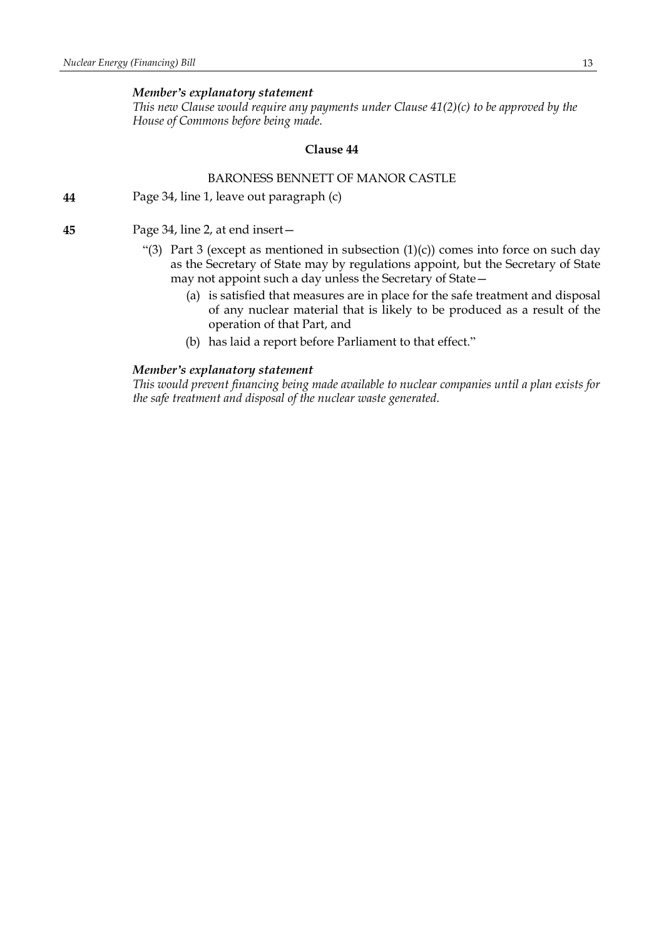*This new Clause would require any payments under Clause 41(2)(c) to be approved by the House of Commons before being made.*

# **Clause 44**

# BARONESS BENNETT OF MANOR CASTLE

**44** Page 34, line 1, leave out paragraph (c)

**45** Page 34, line 2, at end insert—

- "(3) Part 3 (except as mentioned in subsection  $(1)(c)$ ) comes into force on such day as the Secretary of State may by regulations appoint, but the Secretary of State may not appoint such a day unless the Secretary of State—
	- (a) is satisfied that measures are in place for the safe treatment and disposal of any nuclear material that is likely to be produced as a result of the operation of that Part, and
	- (b) has laid a report before Parliament to that effect."

# *Member's explanatory statement*

*This would prevent financing being made available to nuclear companies until a plan exists for the safe treatment and disposal of the nuclear waste generated.*